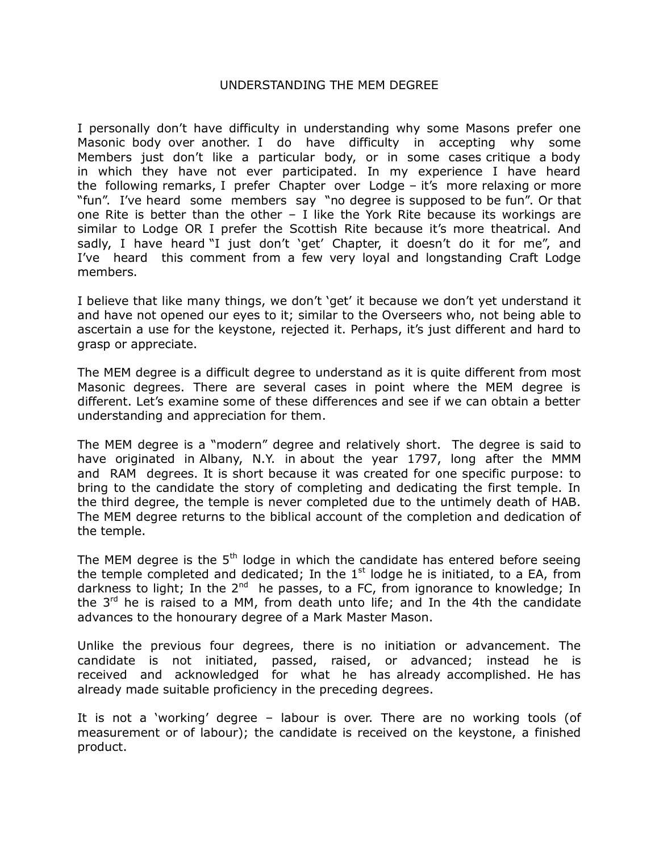## UNDERSTANDING THE MEM DEGREE

I personally don't have difficulty in understanding why some Masons prefer one Masonic body over another. I do have difficulty in accepting why some Members just don't like a particular body, or in some cases critique a body in which they have not ever participated. In my experience I have heard the following remarks, I prefer Chapter over Lodge – it's more relaxing or more "fun". I've heard some members say "no degree is supposed to be fun". Or that one Rite is better than the other  $-$  I like the York Rite because its workings are similar to Lodge OR I prefer the Scottish Rite because it's more theatrical. And sadly, I have heard "I just don't 'get' Chapter, it doesn't do it for me", and I've heard this comment from a few very loyal and longstanding Craft Lodge members.

I believe that like many things, we don't 'get' it because we don't yet understand it and have not opened our eyes to it; similar to the Overseers who, not being able to ascertain a use for the keystone, rejected it. Perhaps, it's just different and hard to grasp or appreciate.

The MEM degree is a difficult degree to understand as it is quite different from most Masonic degrees. There are several cases in point where the MEM degree is different. Let's examine some of these differences and see if we can obtain a better understanding and appreciation for them.

The MEM degree is a "modern" degree and relatively short. The degree is said to have originated in Albany, N.Y. in about the year 1797, long after the MMM and RAM degrees. It is short because it was created for one specific purpose: to bring to the candidate the story of completing and dedicating the first temple. In the third degree, the temple is never completed due to the untimely death of HAB. The MEM degree returns to the biblical account of the completion and dedication of the temple.

The MEM degree is the  $5<sup>th</sup>$  lodge in which the candidate has entered before seeing the temple completed and dedicated; In the  $1<sup>st</sup>$  lodge he is initiated, to a EA, from darkness to light; In the  $2^{nd}$  he passes, to a FC, from ignorance to knowledge; In the  $3<sup>rd</sup>$  he is raised to a MM, from death unto life; and In the 4th the candidate advances to the honourary degree of a Mark Master Mason.

Unlike the previous four degrees, there is no initiation or advancement. The candidate is not initiated, passed, raised, or advanced; instead he is received and acknowledged for what he has already accomplished. He has already made suitable proficiency in the preceding degrees.

It is not a 'working' degree – labour is over. There are no working tools (of measurement or of labour); the candidate is received on the keystone, a finished product.